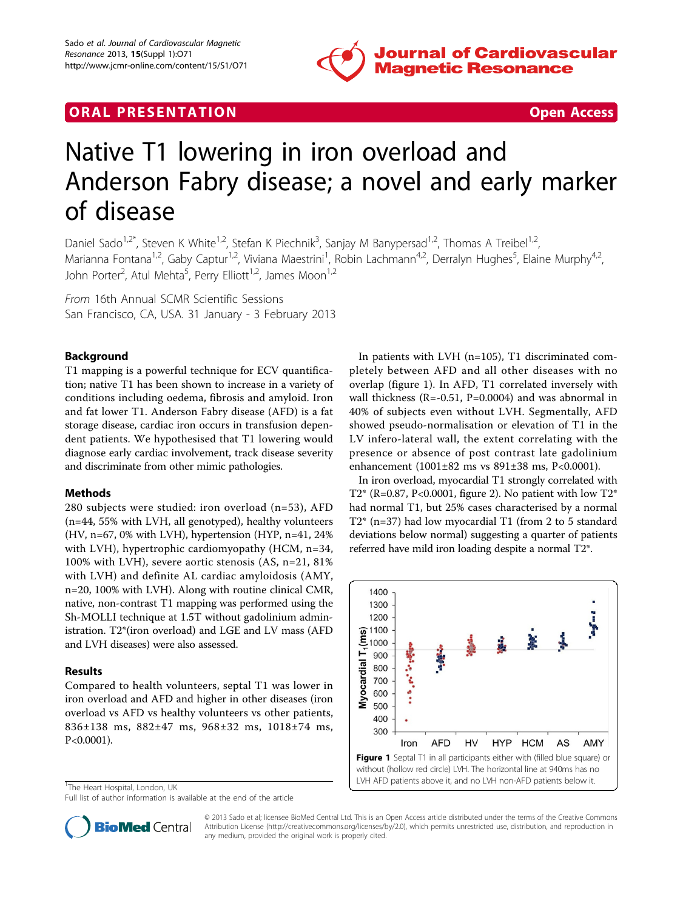

## **ORAL PRESENTATION CONSUMING ACCESS**



# Native T1 lowering in iron overload and Anderson Fabry disease; a novel and early marker of disease

Daniel Sado<sup>1,2\*</sup>, Steven K White<sup>1,2</sup>, Stefan K Piechnik<sup>3</sup>, Sanjay M Banypersad<sup>1,2</sup>, Thomas A Treibel<sup>1,2</sup>, Marianna Fontana<sup>1,2</sup>, Gaby Captur<sup>1,2</sup>, Viviana Maestrini<sup>1</sup>, Robin Lachmann<sup>4,2</sup>, Derralyn Hughes<sup>5</sup>, Elaine Murphy<sup>4,2</sup>, John Porter<sup>2</sup>, Atul Mehta<sup>5</sup>, Perry Elliott<sup>1,2</sup>, James Moon<sup>1,2</sup>

From 16th Annual SCMR Scientific Sessions San Francisco, CA, USA. 31 January - 3 February 2013

#### Background

T1 mapping is a powerful technique for ECV quantification; native T1 has been shown to increase in a variety of conditions including oedema, fibrosis and amyloid. Iron and fat lower T1. Anderson Fabry disease (AFD) is a fat storage disease, cardiac iron occurs in transfusion dependent patients. We hypothesised that T1 lowering would diagnose early cardiac involvement, track disease severity and discriminate from other mimic pathologies.

#### Methods

280 subjects were studied: iron overload (n=53), AFD (n=44, 55% with LVH, all genotyped), healthy volunteers (HV, n=67, 0% with LVH), hypertension (HYP, n=41, 24% with LVH), hypertrophic cardiomyopathy (HCM, n=34, 100% with LVH), severe aortic stenosis (AS, n=21, 81% with LVH) and definite AL cardiac amyloidosis (AMY, n=20, 100% with LVH). Along with routine clinical CMR, native, non-contrast T1 mapping was performed using the Sh-MOLLI technique at 1.5T without gadolinium administration. T2\*(iron overload) and LGE and LV mass (AFD and LVH diseases) were also assessed.

#### Results

Compared to health volunteers, septal T1 was lower in iron overload and AFD and higher in other diseases (iron overload vs AFD vs healthy volunteers vs other patients, 836±138 ms, 882±47 ms, 968±32 ms, 1018±74 ms, P<0.0001).

<sup>1</sup>The Heart Hospital, London, UK

Full list of author information is available at the end of the article

In patients with LVH (n=105), T1 discriminated completely between AFD and all other diseases with no overlap (figure 1). In AFD, T1 correlated inversely with wall thickness (R=-0.51, P=0.0004) and was abnormal in 40% of subjects even without LVH. Segmentally, AFD showed pseudo-normalisation or elevation of T1 in the LV infero-lateral wall, the extent correlating with the presence or absence of post contrast late gadolinium enhancement (1001±82 ms vs 891±38 ms, P<0.0001).

In iron overload, myocardial T1 strongly correlated with T2\* (R=0.87, P<0.0001, figure [2\)](#page-1-0). No patient with low T2\* had normal T1, but 25% cases characterised by a normal T2\* (n=37) had low myocardial T1 (from 2 to 5 standard deviations below normal) suggesting a quarter of patients referred have mild iron loading despite a normal T2\*.





© 2013 Sado et al; licensee BioMed Central Ltd. This is an Open Access article distributed under the terms of the Creative Commons Attribution License [\(http://creativecommons.org/licenses/by/2.0](http://creativecommons.org/licenses/by/2.0)), which permits unrestricted use, distribution, and reproduction in any medium, provided the original work is properly cited.